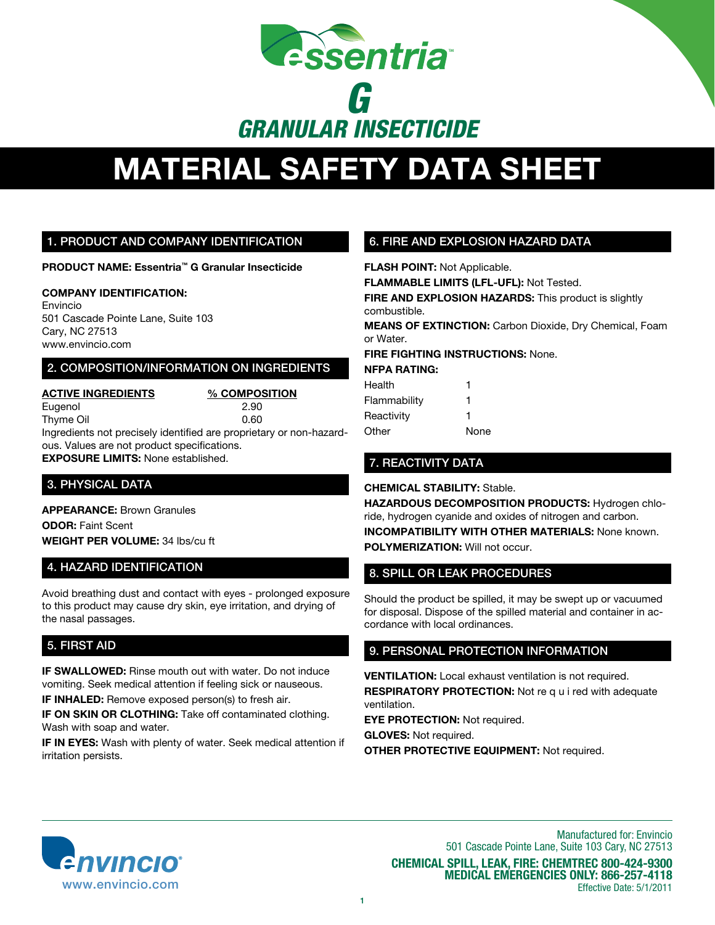

# **MATERIAL SAFETY DATA SHEET**

### 1. Product And Company Identification

**Product Name: Essentria™ G Granular Insecticide**

### **Company Identification:**

Envincio 501 Cascade Pointe Lane, Suite 103 Cary, NC 27513 www.envincio.com

### 2. Composition/information on ingredients

**Active Ingredients % Composition** Eugenol 2.90 Thyme Oil 0.60 Ingredients not precisely identified are proprietary or non-hazard-

ous. Values are not product specifications. **Exposure Limits:** None established.

## 3. PHYSICAL DATA

**Appearance:** Brown Granules **odor:** Faint Scent **Weight per volume:** 34 lbs/cu ft

## 4. hazard identification

Avoid breathing dust and contact with eyes - prolonged exposure to this product may cause dry skin, eye irritation, and drying of the nasal passages.

## 5. First Aid

**IF SWALLOWED:** Rinse mouth out with water. Do not induce vomiting. Seek medical attention if feeling sick or nauseous.

**IF INHALED:** Remove exposed person(s) to fresh air.

**IF ON SKIN OR CLOTHING:** Take off contaminated clothing. Wash with soap and water.

**IF IN EYES:** Wash with plenty of water. Seek medical attention if irritation persists.

# 6. FIRE AND EXPLOSION HAZARD DATA

**Flash point:** Not Applicable.

**FLAMMABLE LIMITS (LFL-UFL):** Not Tested.

**FIRE AND EXPLOSION HAZARDS:** This product is slightly combustible.

**MEANS OF EXTINCTION:** Carbon Dioxide, Dry Chemical, Foam or Water.

**FIRE FIGHTING INSTRUCTIONS:** None.

### **NFPA Rating:**

| Health       | 1    |
|--------------|------|
| Flammability | 1    |
| Reactivity   | 1    |
| Other        | None |

# 7. REACTIVITY DATA

**CHEMICAL STABILITY:** Stable.

**HAZARDOUS DECOMPOSITION PRODUCTS:** Hydrogen chloride, hydrogen cyanide and oxides of nitrogen and carbon. **INCOMPATIBILITY WITH OTHER MATERIALS:** None known. **POLYMERIZATION:** Will not occur.

# 8. SPILL OR LEAK PROCEDURES

Should the product be spilled, it may be swept up or vacuumed for disposal. Dispose of the spilled material and container in accordance with local ordinances.

## 9. PersonAL PROTECTION INFORMATION

**VENTILATION:** Local exhaust ventilation is not required.

**RESPIRATORY PROTECTION:** Not re q u i red with adequate ventilation.

**EYE PROTECTION: Not required.** 

**Gloves:** Not required. **Other Protective Equipment:** Not required.



Manufactured for: Envincio 501 Cascade Pointe Lane, Suite 103 Cary, NC 27513 **Chemical spill, leak, fire: Chemtrec 800-424-9300 medical Emergencies only: 866-257-4118** Effective Date: 5/1/2011